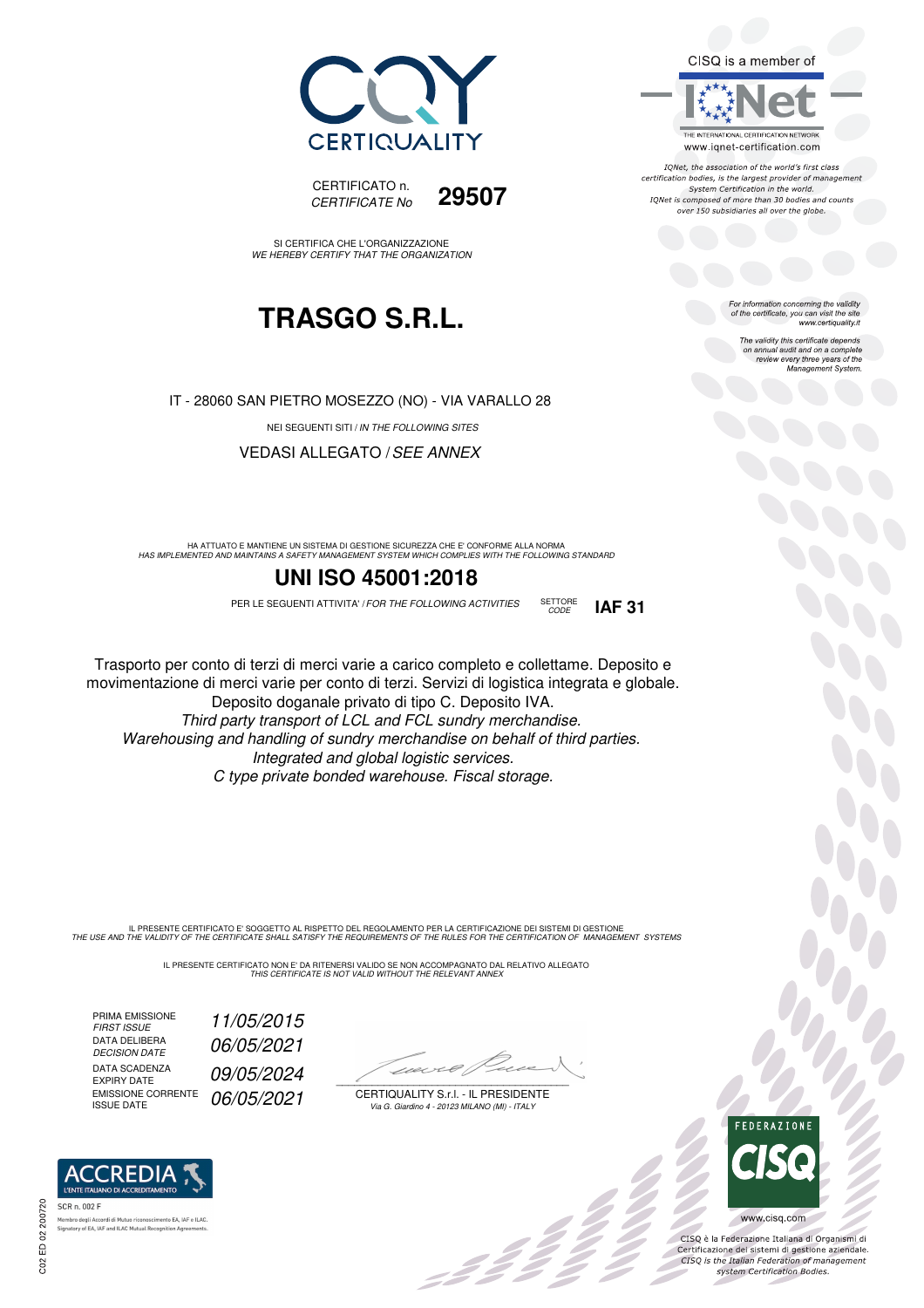



SI CERTIFICA CHE L'ORGANIZZAZIONE WE HEREBY CERTIFY THAT THE ORGANIZATION

## **TRASGO S.R.L.**

IT - 28060 SAN PIETRO MOSEZZO (NO) - VIA VARALLO 28

NEI SEGUENTI SITI / IN THE FOLLOWING SITES

VEDASI ALLEGATO /SEE ANNEX

HA ATTUATO E MANTIENE UN SISTEMA DI GESTIONE SICUREZZA CHE E' CONFORME ALLA NORMA<br>HAS IMPLEMENTED AND MAINTAINS A SAFETY MANAGEMENT SYSTEM WHICH COMPLIES WITH THE FOLLOWING STANDARD

#### **UNI ISO 45001:2018**

PER LE SEGUENTI ATTIVITA' / FOR THE FOLLOWING ACTIVITIES SETTORE **IAF 31** 

Trasporto per conto di terzi di merci varie a carico completo e collettame. Deposito e movimentazione di merci varie per conto di terzi. Servizi di logistica integrata e globale. Deposito doganale privato di tipo C. Deposito IVA. Third party transport of LCL and FCL sundry merchandise.

Warehousing and handling of sundry merchandise on behalf of third parties. Integrated and global logistic services. C type private bonded warehouse. Fiscal storage.

IL PRESENTE CERTIFICATO E' SOGGETTO AL RISPETTO DEL REGOLAMENTO PER LA CERTIFICAZIONE DEI SISTEMI DI GESTIONE<br>THE USE AND THE VALIDITY OF THE CERTIFICATE SHALL SATISFY THE REQUIREMENTS OF THE RULES FOR THE CERTIFICATION OF

IL PRESENTE CERTIFICATO NON E' DA RITENERSI VALIDO SE NON ACCOMPAGNATO DAL RELATIVO ALLEGATO<br>*THIS CERTIFICATE IS NOT VALID WITHOUT THE RELEVANT ANNEX* 

PRIMA EMISSIONE<br>FIRST ISSUE DATA DELIBERA<br>DECISION DATE DATA SCADENZA<br>EXPIRY DATE EMISSIONE CORRENTE EMISSIONE CORRENTE 06/05/2021

ento EA, IAF e ILAC

FIRST ISSUE 11/05/2015 06/05/2021 09/05/2024

 $1121 + 14$  $\overline{\phantom{a}}$ 

CERTIQUALITY S.r.l. - IL PRESIDENTE Via G. Giardino 4 - 20123 MILANO (MI) - ITALY

. I II



bo<br>Do

CISQ is a member of

THE INTERNATIONAL CERTIFICATION NETWORK

www.iqnet-certification.com IONet, the association of the world's first class certification bodies, is the largest provider of management System Certification in the world. IQNet is composed of more than 30 bodies and counts over 150 subsidiaries all over the globe.

> For information concerning the validity<br>of the certificate, you can visit the site<br>www.certiquality.it The validity this certificate depends on annual audit and on a complete review every three years of the Management System.

CISQ è la Federazione Italiana di Organismi di Certificazione dei sistemi di gestione aziendale.<br>CISQ is the Italian Federation of management system Certification Bodies.

SETTORE<br>CODE



ACCREDIA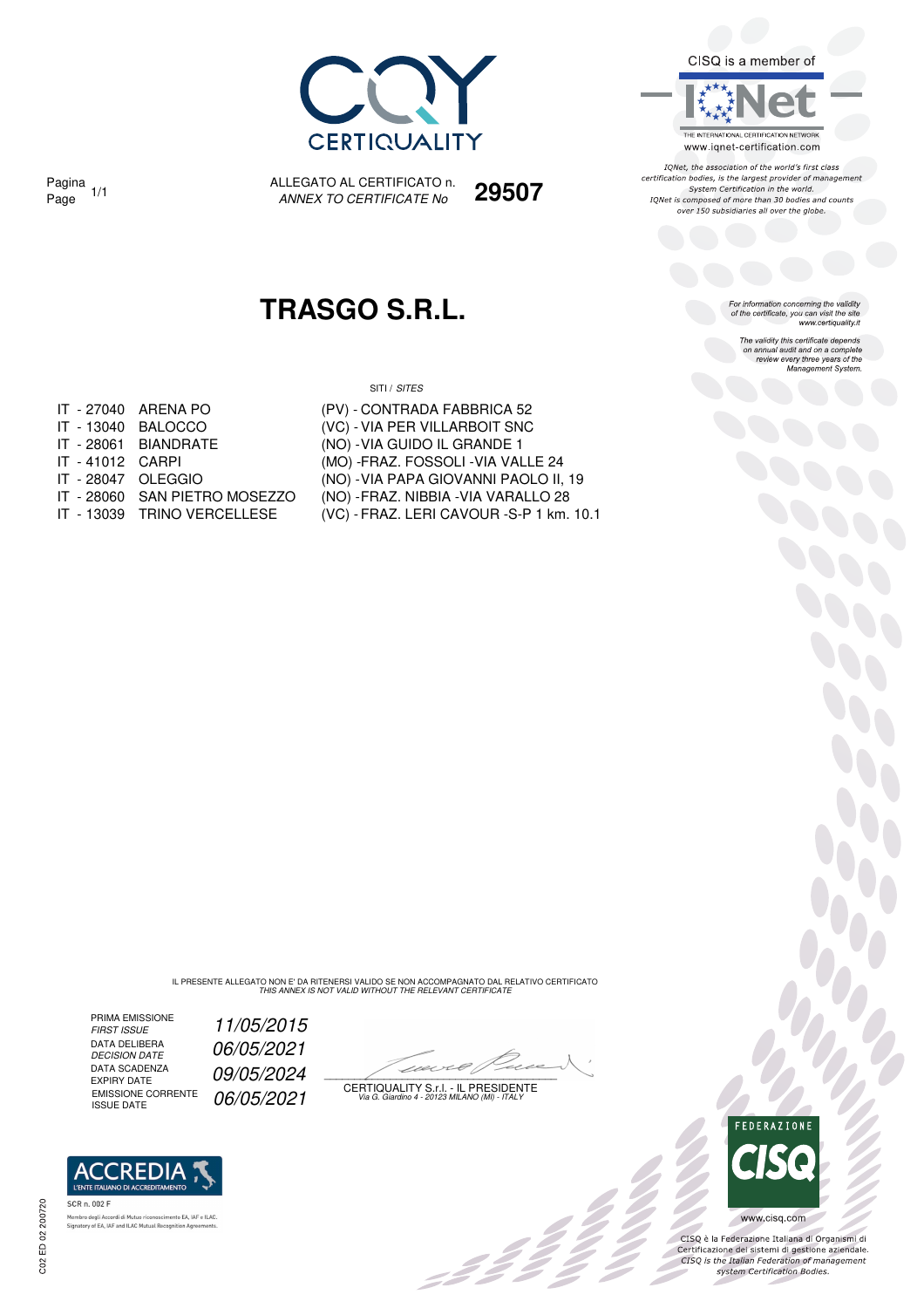

CISQ is a member of

THE INTERNATIONAL CERTIFICATION NETWORK www.iqnet-certification.com

IONet, the association of the world's first class certification bodies, is the largest provider of management<br>System Certification in the world. IQNet is composed of more than 30 bodies and counts over 150 subsidiaries all over the globe.

For information concerning the validity<br>of the certificate, you can visit the site<br>www.certiquality.it

The validity this certificate depends on annual audit and on a complete review every three years of the<br>Management System.

Pagina 1/1

ALLEGATO AL CERTIFICATO n. Pagina 1/1 ALLEGATO AL CERTIFICATO n. **29507**<br>Page 1/1 *ANNEX TO CERTIFICATE No* **29507** 

## **TRASGO S.R.L.**

SITI / SITES

|                    | IT - 27040 ARENA PO  |
|--------------------|----------------------|
|                    | IT - 13040 BALOCCO   |
|                    | IT - 28061 BIANDRATF |
| IT - 41012 CARPI   |                      |
| IT - 28047 OLEGGIO |                      |
|                    |                      |

- 
- 
- (PV) CONTRADA FABBRICA 52 (VC) - VIA PER VILLARBOIT SNC (NO) - VIA GUIDO IL GRANDE 1 (MO) - FRAZ. FOSSOLI - VIA VALLE 24 (NO) - VIA PAPA GIOVANNI PAOLO II, 19 IT - 28060 SAN PIETRO MOSEZZO (NO) - FRAZ. NIBBIA -VIA VARALLO 28
- IT 13039 TRINO VERCELLESE (VC) FRAZ. LERI CAVOUR -S-P 1 km. 10.1

IL PRESENTE ALLEGATO NON E' DA RITENERSI VALIDO SE NON ACCOMPAGNATO DAL RELATIVO CERTIFICATO<br>THIS ANNEX IS NOT VALID WITHOUT THE RELEVANT CERTIFICATE

PRIMA EMISSIONE<br>FIRST ISSUE DATA DELIBERA<br>DECISION DATE DATA SCADENZA<br>EXPIRY DATE DATA SCADENZA<br>EXPIRY DATE 09/05/2024<br>EMISSIONE CORRENTE 06/05/2021

**ACCREDIA I'ENTE ITALIANO DI ACCRET** 

.<br>Membro degli Accordi di Mutuo riconoscimento EA, IAF e<br>Signatory of EA, IAF and ILAC Mutual Recognition Agreer

nento EA, IAF e ILAC

SCR n. 002 F

11/05/2015 06/05/2021

 $\mathcal{L}$ 

EMISSIONE CORRENTE  $\left( \frac{06}{05} \right) 2021$  certiquality S.f.l. - IL PRESIDENTE<br>ISSUE DATE



Soc

CISQ è la Federazione Italiana di Organismi di Certificazione dei sistemi di gestione aziendale.<br>CISQ is the Italian Federation of management system Certification Bodies.